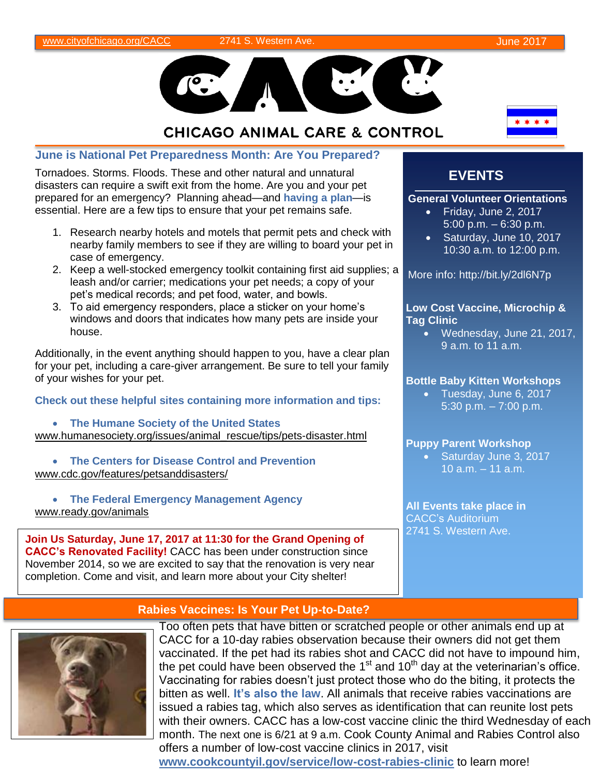

# **CHICAGO ANIMAL CARE & CONTROL**

**June is National Pet Preparedness Month: Are You Prepared?**

Tornadoes. Storms. Floods. These and other natural and unnatural disasters can require a swift exit from the home. Are you and your pet prepared for an emergency? Planning ahead—and **having a plan**—is essential. Here are a few tips to ensure that your pet remains safe.

- 1. Research nearby hotels and motels that permit pets and check with nearby family members to see if they are willing to board your pet in case of emergency.
- 2. Keep a well-stocked emergency toolkit containing first aid supplies; a leash and/or carrier; medications your pet needs; a copy of your pet's medical records; and pet food, water, and bowls.
- 3. To aid emergency responders, place a sticker on your home's windows and doors that indicates how many pets are inside your house.

Additionally, in the event anything should happen to you, have a clear plan for your pet, including a care-giver arrangement. Be sure to tell your family of your wishes for your pet.

**Check out these helpful sites containing more information and tips:**

 **The Humane Society of the United States** www.humanesociety.org/issues/animal\_rescue/tips/pets-disaster.html

 **The Centers for Disease Control and Prevention** www.cdc.gov/features/petsanddisasters/

 **The Federal Emergency Management Agency** www.ready.gov/animals

**Join Us Saturday, June 17, 2017 at 11:30 for the Grand Opening of CACC's Renovated Facility!** CACC has been under construction since November 2014, so we are excited to say that the renovation is very near completion. Come and visit, and learn more about your City shelter!

# **EVENTS**

### **General Volunteer Orientations**

- Friday, June 2, 2017 5:00 p.m. – 6:30 p.m.
- Saturday, June 10, 2017 10:30 a.m. to 12:00 p.m.

More info: http://bit.ly/2dl6N7p

## **Low Cost Vaccine, Microchip & Tag Clinic**

 Wednesday, June 21, 2017, 9 a.m. to 11 a.m.

## **Bottle Baby Kitten Workshops**

 Tuesday, June 6, 2017 5:30 p.m. – 7:00 p.m.

### **Puppy Parent Workshop**

• Saturday June 3, 2017 10 a.m. – 11 a.m.

**All Events take place in** CACC's Auditorium 2741 S. Western Ave.

# **Rabies Vaccines: Is Your Pet Up-to-Date?**



Too often pets that have bitten or scratched people or other animals end up at CACC for a 10-day rabies observation because their owners did not get them vaccinated. If the pet had its rabies shot and CACC did not have to impound him, the pet could have been observed the 1<sup>st</sup> and 10<sup>th</sup> day at the veterinarian's office. Vaccinating for rabies doesn't just protect those who do the biting, it protects the bitten as well. **It's also the law**. All animals that receive rabies vaccinations are issued a rabies tag, which also serves as identification that can reunite lost pets with their owners. CACC has a low-cost vaccine clinic the third Wednesday of each month. The next one is 6/21 at 9 a.m. Cook County Animal and Rabies Control also offers a number of low-cost vaccine clinics in 2017, visit

**www.cookcountyil.gov/service/low-cost-rabies-clinic** to learn more!